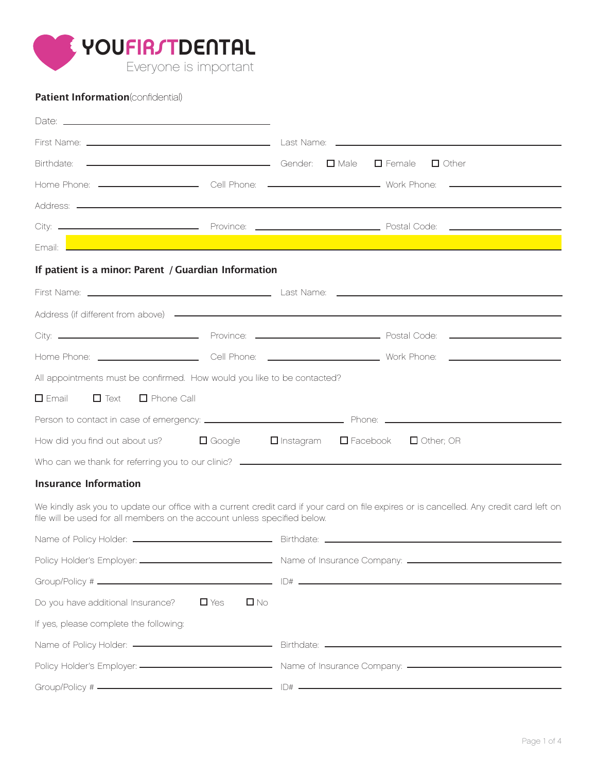

# **Patient Information**(confidential)

| Email: L                                                                |  | and the control of the control of the control of the control of the control of the control of the control of the |  |  |  |  |
|-------------------------------------------------------------------------|--|------------------------------------------------------------------------------------------------------------------|--|--|--|--|
| If patient is a minor: Parent / Guardian Information                    |  |                                                                                                                  |  |  |  |  |
|                                                                         |  |                                                                                                                  |  |  |  |  |
|                                                                         |  |                                                                                                                  |  |  |  |  |
|                                                                         |  |                                                                                                                  |  |  |  |  |
|                                                                         |  |                                                                                                                  |  |  |  |  |
| All appointments must be confirmed. How would you like to be contacted? |  |                                                                                                                  |  |  |  |  |
| $\Box$ Text $\Box$ Phone Call<br>$\square$ Email                        |  |                                                                                                                  |  |  |  |  |
|                                                                         |  |                                                                                                                  |  |  |  |  |
|                                                                         |  | How did you find out about us? $\Box$ Google $\Box$ Instagram $\Box$ Facebook $\Box$ Other; OR                   |  |  |  |  |
|                                                                         |  |                                                                                                                  |  |  |  |  |
|                                                                         |  |                                                                                                                  |  |  |  |  |

## **Insurance Information**

We kindly ask you to update our office with a current credit card if your card on file expires or is cancelled. Any credit card left on file will be used for all members on the account unless specified below.

| Do you have additional Insurance? $\Box$ Yes | $\square$ No |  |  |  |
|----------------------------------------------|--------------|--|--|--|
| If yes, please complete the following:       |              |  |  |  |
|                                              |              |  |  |  |
|                                              |              |  |  |  |
|                                              |              |  |  |  |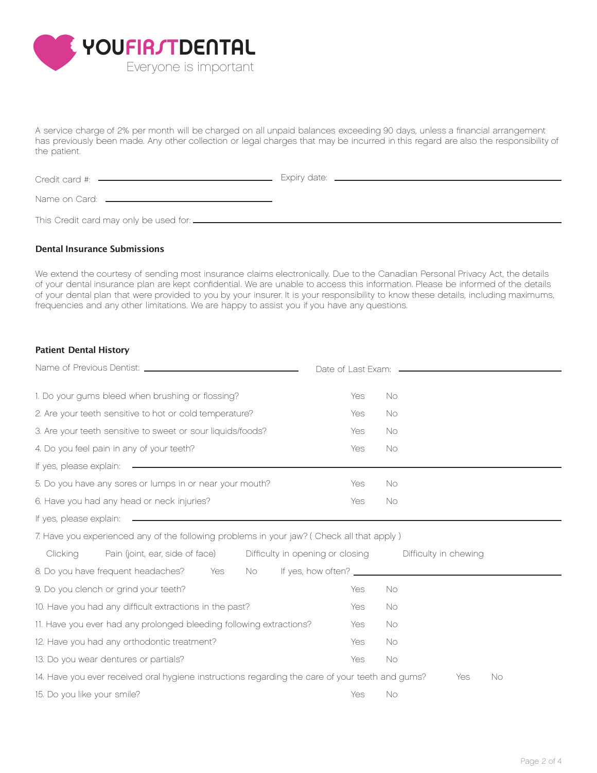

A service charge of 2% per month will be charged on all unpaid balances exceeding 90 days, unless a financial arrangement has previously been made. Any other collection or legal charges that may be incurred in this regard are also the responsibility of the patient.

| Credit card #: ——————————————                    |  |
|--------------------------------------------------|--|
| Name on Card: <u>_____________________</u>       |  |
| This Credit card may only be used for: _________ |  |

#### **Dental Insurance Submissions**

We extend the courtesy of sending most insurance claims electronically. Due to the Canadian Personal Privacy Act, the details of your dental insurance plan are kept confidential. We are unable to access this information. Please be informed of the details of your dental plan that were provided to you by your insurer. It is your responsibility to know these details, including maximums, frequencies and any other limitations. We are happy to assist you if you have any questions.

#### **Patient Dental History**

| 1. Do your gums bleed when brushing or flossing?                                                                                                                                                                                     | Yes        | <b>No</b>                                              |  |  |
|--------------------------------------------------------------------------------------------------------------------------------------------------------------------------------------------------------------------------------------|------------|--------------------------------------------------------|--|--|
| 2. Are your teeth sensitive to hot or cold temperature?                                                                                                                                                                              | Yes        | No.                                                    |  |  |
| 3. Are your teeth sensitive to sweet or sour liquids/foods?                                                                                                                                                                          | Yes        | <b>No</b>                                              |  |  |
| 4. Do you feel pain in any of your teeth?                                                                                                                                                                                            | Yes        | No                                                     |  |  |
| If yes, please explain: <b>example and the set of the set of the set of the set of the set of the set of the set of the set of the set of the set of the set of the set of the set of the set of the set of the set of the set o</b> |            |                                                        |  |  |
| 5. Do you have any sores or lumps in or near your mouth?                                                                                                                                                                             | Yes        | No                                                     |  |  |
| 6. Have you had any head or neck injuries?                                                                                                                                                                                           | Yes        | No                                                     |  |  |
|                                                                                                                                                                                                                                      |            |                                                        |  |  |
| 7. Have you experienced any of the following problems in your jaw? ( Check all that apply )                                                                                                                                          |            |                                                        |  |  |
| Pain (joint, ear, side of face)<br>Clicking                                                                                                                                                                                          |            | Difficulty in opening or closing Difficulty in chewing |  |  |
| 8. Do you have frequent headaches?<br>Yes<br>No.                                                                                                                                                                                     |            |                                                        |  |  |
| 9. Do you clench or grind your teeth?                                                                                                                                                                                                | <b>Yes</b> | No                                                     |  |  |
| 10. Have you had any difficult extractions in the past?                                                                                                                                                                              | Yes        | No                                                     |  |  |
| 11. Have you ever had any prolonged bleeding following extractions?                                                                                                                                                                  | Yes        | No                                                     |  |  |
| 12. Have you had any orthodontic treatment?                                                                                                                                                                                          | Yes        | No                                                     |  |  |
| 13. Do you wear dentures or partials?                                                                                                                                                                                                | <b>Yes</b> | No                                                     |  |  |
| 14. Have you ever received oral hygiene instructions regarding the care of your teeth and gums?                                                                                                                                      |            | Yes<br>No.                                             |  |  |
| 15. Do you like your smile?                                                                                                                                                                                                          | <b>Yes</b> | <b>No</b>                                              |  |  |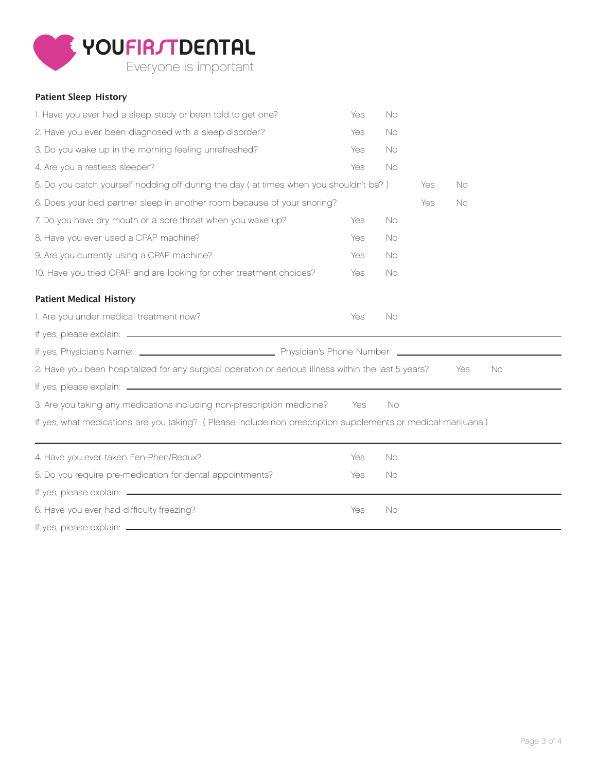

## **Patient Sleep History**

| 1. Have you ever had a sleep study or been told to get one?                                                 | Yes        | <b>No</b> |     |                  |  |
|-------------------------------------------------------------------------------------------------------------|------------|-----------|-----|------------------|--|
| 2. Have you ever been diagnosed with a sleep disorder?                                                      | Yes        | <b>No</b> |     |                  |  |
| 3. Do you wake up in the morning feeling unrefreshed?                                                       | Yes        | <b>No</b> |     |                  |  |
| 4. Are you a restless sleeper?                                                                              | Yes        | <b>No</b> |     |                  |  |
| 5. Do you catch yourself nodding off during the day (at times when you shouldn't be?)                       |            |           | Yes | <b>No</b>        |  |
| 6. Does your bed partner sleep in another room because of your snoring?                                     |            |           | Yes | No               |  |
| 7. Do you have dry mouth or a sore throat when you wake up?                                                 | Yes        | <b>No</b> |     |                  |  |
| 8. Have you ever used a CPAP machine?                                                                       | Yes        | <b>No</b> |     |                  |  |
| 9. Are you currently using a CPAP machine?                                                                  | Yes        | No        |     |                  |  |
| 10. Have you tried CPAP and are looking for other treatment choices?                                        | <b>Yes</b> | <b>No</b> |     |                  |  |
| <b>Patient Medical History</b>                                                                              |            |           |     |                  |  |
| 1. Are you under medical treatment now?                                                                     | Yes        | No        |     |                  |  |
|                                                                                                             |            |           |     |                  |  |
|                                                                                                             |            |           |     |                  |  |
| 2. Have you been hospitalized for any surgical operation or serious illness within the last 5 years?        |            |           |     | <b>No</b><br>Yes |  |
|                                                                                                             |            |           |     |                  |  |
| 3. Are you taking any medications including non-prescription medicine?                                      | Yes        | No        |     |                  |  |
| If yes, what medications are you taking? (Please include non prescription supplements or medical marijuana) |            |           |     |                  |  |
| 4. Have you ever taken Fen-Phen/Redux?                                                                      | Yes        | <b>No</b> |     |                  |  |
| 5. Do you require pre-medication for dental appointments?                                                   | Yes        | <b>No</b> |     |                  |  |
|                                                                                                             |            |           |     |                  |  |
| 6. Have you ever had difficulty freezing?                                                                   | Yes        | <b>No</b> |     |                  |  |
|                                                                                                             |            |           |     |                  |  |